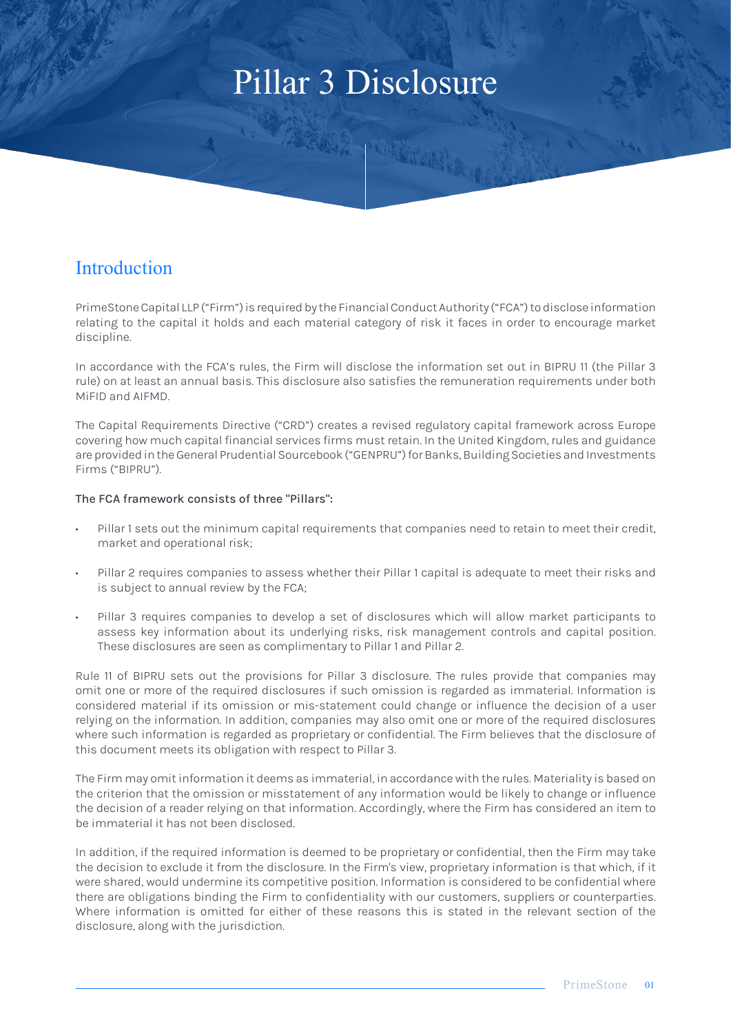# Pillar 3 Disclosure

**RASA PARTITION** 

# **Introduction**

PrimeStone Capital LLP ("Firm") is required by the Financial Conduct Authority ("FCA") to disclose information relating to the capital it holds and each material category of risk it faces in order to encourage market discipline.

In accordance with the FCA's rules, the Firm will disclose the information set out in BIPRU 11 (the Pillar 3 rule) on at least an annual basis. This disclosure also satisfies the remuneration requirements under both MiFID and AIFMD.

The Capital Requirements Directive ("CRD") creates a revised regulatory capital framework across Europe covering how much capital financial services firms must retain. In the United Kingdom, rules and guidance are provided in the General Prudential Sourcebook ("GENPRU") for Banks, Building Societies and Investments Firms ("BIPRU").

#### The FCA framework consists of three "Pillars":

- Pillar 1 sets out the minimum capital requirements that companies need to retain to meet their credit, market and operational risk;
- Pillar 2 requires companies to assess whether their Pillar 1 capital is adequate to meet their risks and is subject to annual review by the FCA;
- Pillar 3 requires companies to develop a set of disclosures which will allow market participants to assess key information about its underlying risks, risk management controls and capital position. These disclosures are seen as complimentary to Pillar 1 and Pillar 2.

Rule 11 of BIPRU sets out the provisions for Pillar 3 disclosure. The rules provide that companies may omit one or more of the required disclosures if such omission is regarded as immaterial. Information is considered material if its omission or mis-statement could change or influence the decision of a user relying on the information. In addition, companies may also omit one or more of the required disclosures where such information is regarded as proprietary or confidential. The Firm believes that the disclosure of this document meets its obligation with respect to Pillar 3.

The Firm may omit information it deems as immaterial, in accordance with the rules. Materiality is based on the criterion that the omission or misstatement of any information would be likely to change or influence the decision of a reader relying on that information. Accordingly, where the Firm has considered an item to be immaterial it has not been disclosed.

In addition, if the required information is deemed to be proprietary or confidential, then the Firm may take the decision to exclude it from the disclosure. In the Firm's view, proprietary information is that which, if it were shared, would undermine its competitive position. Information is considered to be confidential where there are obligations binding the Firm to confidentiality with our customers, suppliers or counterparties. Where information is omitted for either of these reasons this is stated in the relevant section of the disclosure, along with the jurisdiction.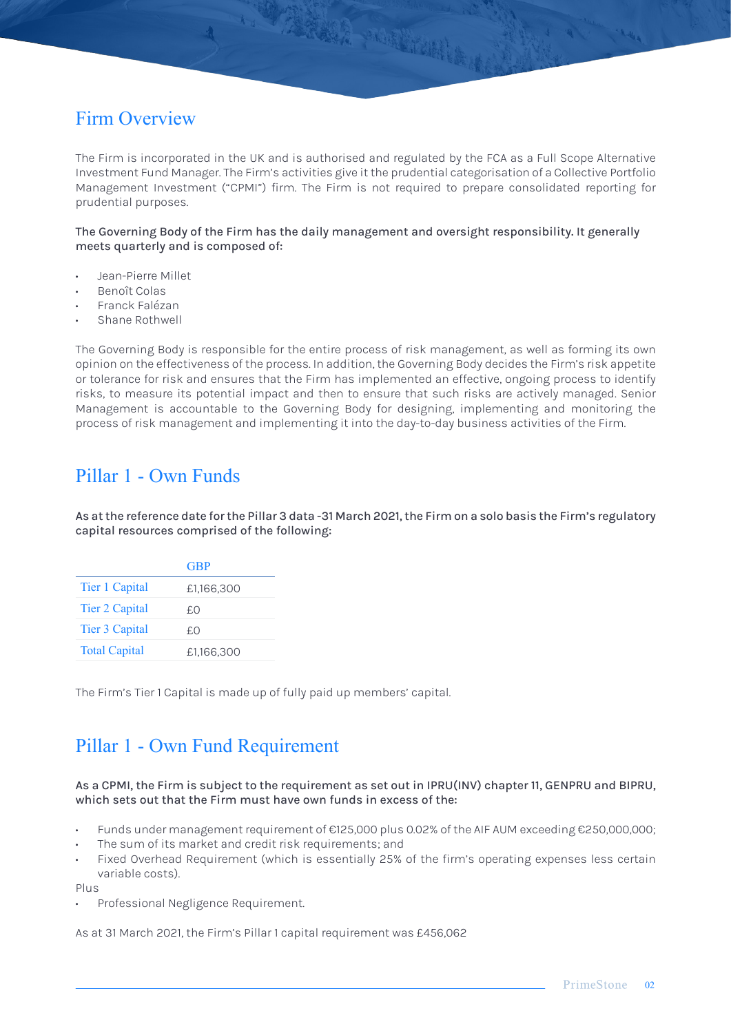# Firm Overview

The Firm is incorporated in the UK and is authorised and regulated by the FCA as a Full Scope Alternative Investment Fund Manager. The Firm's activities give it the prudential categorisation of a Collective Portfolio Management Investment ("CPMI") firm. The Firm is not required to prepare consolidated reporting for prudential purposes.

WARRY PORTHAIN

The Governing Body of the Firm has the daily management and oversight responsibility. It generally meets quarterly and is composed of:

- Jean-Pierre Millet
- Benoît Colas
- Franck Falézan
- Shane Rothwell

The Governing Body is responsible for the entire process of risk management, as well as forming its own opinion on the effectiveness of the process. In addition, the Governing Body decides the Firm's risk appetite or tolerance for risk and ensures that the Firm has implemented an effective, ongoing process to identify risks, to measure its potential impact and then to ensure that such risks are actively managed. Senior Management is accountable to the Governing Body for designing, implementing and monitoring the process of risk management and implementing it into the day-to-day business activities of the Firm.

### Pillar 1 - Own Funds

As at the reference date for the Pillar 3 data -31 March 2021, the Firm on a solo basis the Firm's regulatory capital resources comprised of the following:

|                      | GBP)       |
|----------------------|------------|
| Tier 1 Capital       | £1,166,300 |
| Tier 2 Capital       | £.O        |
| Tier 3 Capital       | £.O        |
| <b>Total Capital</b> | £1,166,300 |

The Firm's Tier 1 Capital is made up of fully paid up members' capital.

### Pillar 1 - Own Fund Requirement

#### As a CPMI, the Firm is subject to the requirement as set out in IPRU(INV) chapter 11, GENPRU and BIPRU, which sets out that the Firm must have own funds in excess of the:

- Funds under management requirement of €125,000 plus 0.02% of the AIF AUM exceeding €250,000,000;
- The sum of its market and credit risk requirements; and
- Fixed Overhead Requirement (which is essentially 25% of the firm's operating expenses less certain variable costs).

Plus

• Professional Negligence Requirement.

As at 31 March 2021, the Firm's Pillar 1 capital requirement was £456,062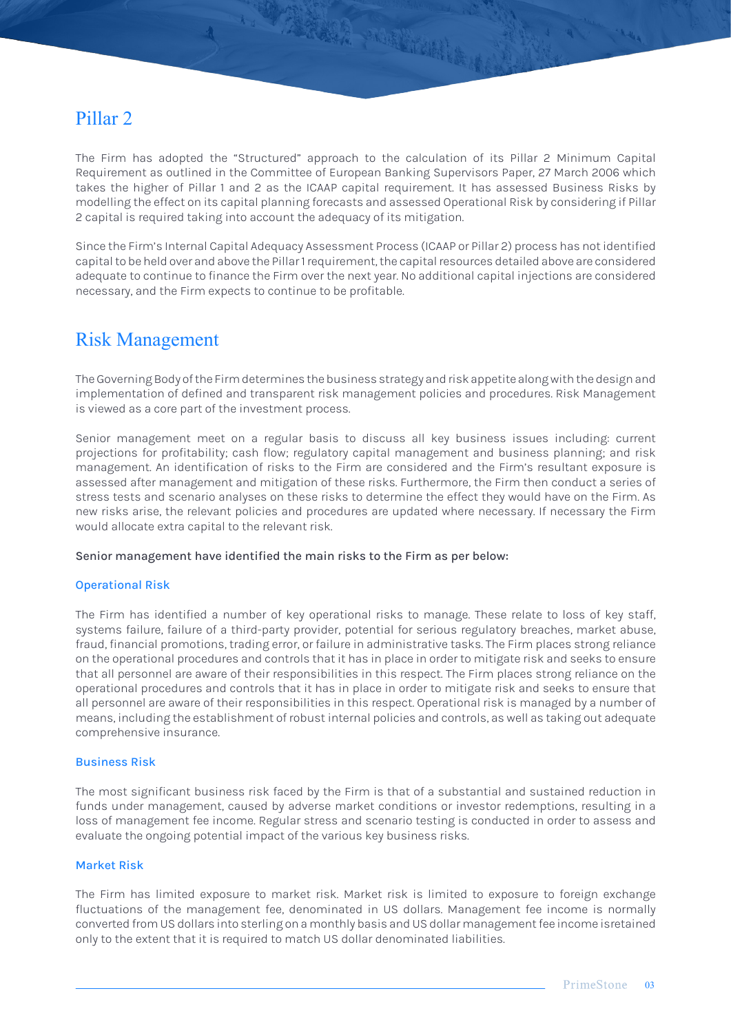### Pillar 2

The Firm has adopted the "Structured" approach to the calculation of its Pillar 2 Minimum Capital Requirement as outlined in the Committee of European Banking Supervisors Paper, 27 March 2006 which takes the higher of Pillar 1 and 2 as the ICAAP capital requirement. It has assessed Business Risks by modelling the effect on its capital planning forecasts and assessed Operational Risk by considering if Pillar 2 capital is required taking into account the adequacy of its mitigation.

TANA MELINDER

Since the Firm's Internal Capital Adequacy Assessment Process (ICAAP or Pillar 2) process has not identified capital to be held over and above the Pillar 1 requirement, the capital resources detailed above are considered adequate to continue to finance the Firm over the next year. No additional capital injections are considered necessary, and the Firm expects to continue to be profitable.

### Risk Management

The Governing Body of the Firm determines the business strategy and risk appetite along with the design and implementation of defined and transparent risk management policies and procedures. Risk Management is viewed as a core part of the investment process.

Senior management meet on a regular basis to discuss all key business issues including: current projections for profitability; cash flow; regulatory capital management and business planning; and risk management. An identification of risks to the Firm are considered and the Firm's resultant exposure is assessed after management and mitigation of these risks. Furthermore, the Firm then conduct a series of stress tests and scenario analyses on these risks to determine the effect they would have on the Firm. As new risks arise, the relevant policies and procedures are updated where necessary. If necessary the Firm would allocate extra capital to the relevant risk.

#### Senior management have identified the main risks to the Firm as per below:

#### Operational Risk

The Firm has identified a number of key operational risks to manage. These relate to loss of key staff, systems failure, failure of a third-party provider, potential for serious regulatory breaches, market abuse, fraud, financial promotions, trading error, or failure in administrative tasks. The Firm places strong reliance on the operational procedures and controls that it has in place in order to mitigate risk and seeks to ensure that all personnel are aware of their responsibilities in this respect. The Firm places strong reliance on the operational procedures and controls that it has in place in order to mitigate risk and seeks to ensure that all personnel are aware of their responsibilities in this respect. Operational risk is managed by a number of means, including the establishment of robust internal policies and controls, as well as taking out adequate comprehensive insurance.

#### Business Risk

The most significant business risk faced by the Firm is that of a substantial and sustained reduction in funds under management, caused by adverse market conditions or investor redemptions, resulting in a loss of management fee income. Regular stress and scenario testing is conducted in order to assess and evaluate the ongoing potential impact of the various key business risks.

#### Market Risk

The Firm has limited exposure to market risk. Market risk is limited to exposure to foreign exchange fluctuations of the management fee, denominated in US dollars. Management fee income is normally converted from US dollars into sterling on a monthly basis and US dollar management fee income isretained only to the extent that it is required to match US dollar denominated liabilities.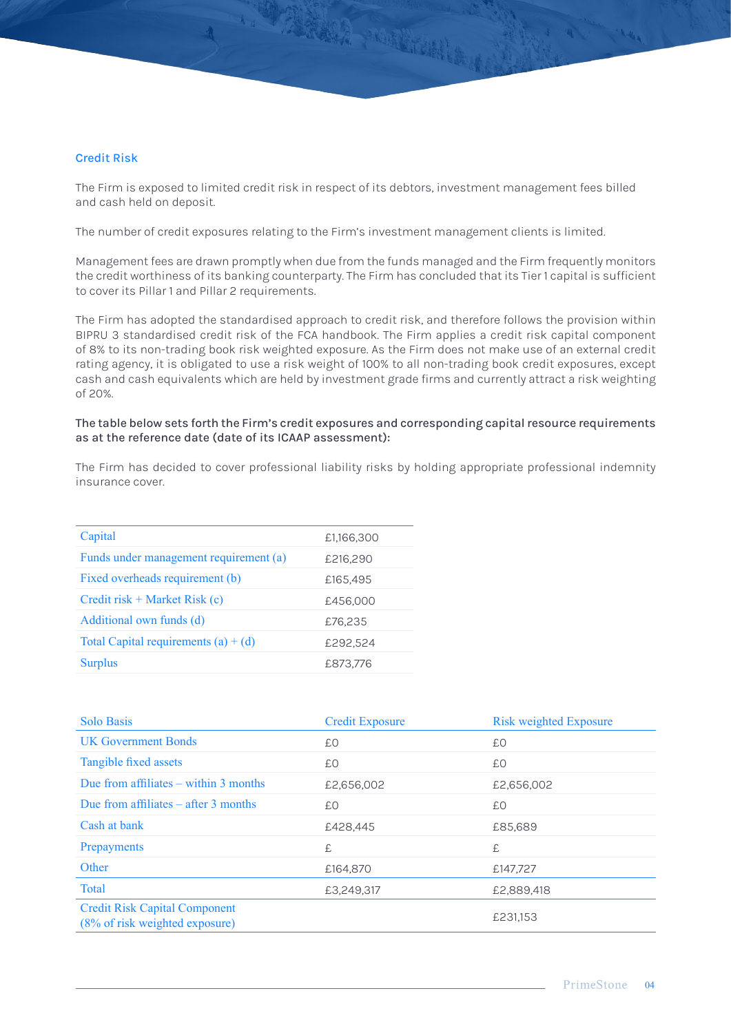#### Credit Risk

The Firm is exposed to limited credit risk in respect of its debtors, investment management fees billed and cash held on deposit.

A TARAR MENTING

The number of credit exposures relating to the Firm's investment management clients is limited.

Management fees are drawn promptly when due from the funds managed and the Firm frequently monitors the credit worthiness of its banking counterparty. The Firm has concluded that its Tier 1 capital is sufficient to cover its Pillar 1 and Pillar 2 requirements.

The Firm has adopted the standardised approach to credit risk, and therefore follows the provision within BIPRU 3 standardised credit risk of the FCA handbook. The Firm applies a credit risk capital component of 8% to its non-trading book risk weighted exposure. As the Firm does not make use of an external credit rating agency, it is obligated to use a risk weight of 100% to all non-trading book credit exposures, except cash and cash equivalents which are held by investment grade firms and currently attract a risk weighting of 20%.

#### The table below sets forth the Firm's credit exposures and corresponding capital resource requirements as at the reference date (date of its ICAAP assessment):

The Firm has decided to cover professional liability risks by holding appropriate professional indemnity insurance cover.

| Capital                                | £1,166,300 |
|----------------------------------------|------------|
| Funds under management requirement (a) | £216,290   |
| Fixed overheads requirement (b)        | £165,495   |
| Credit risk + Market Risk $(c)$        | £456,000   |
| Additional own funds (d)               | £76,235    |
| Total Capital requirements $(a) + (d)$ | £292.524   |
| <b>Surplus</b>                         | £873,776   |
|                                        |            |

| <b>Solo Basis</b>                                                      | <b>Credit Exposure</b> | <b>Risk weighted Exposure</b> |
|------------------------------------------------------------------------|------------------------|-------------------------------|
| <b>UK Government Bonds</b>                                             | £Ο                     | £0                            |
| Tangible fixed assets                                                  | £Ο                     | £0                            |
| Due from affiliates $-$ within 3 months                                | £2,656,002             | £2,656,002                    |
| Due from affiliates $-$ after 3 months                                 | £Ο                     | £0                            |
| Cash at bank                                                           | £428,445               | £85,689                       |
| Prepayments                                                            | £                      | £                             |
| Other                                                                  | £164,870               | £147,727                      |
| <b>Total</b>                                                           | £3,249,317             | £2,889,418                    |
| <b>Credit Risk Capital Component</b><br>(8% of risk weighted exposure) |                        | £231,153                      |